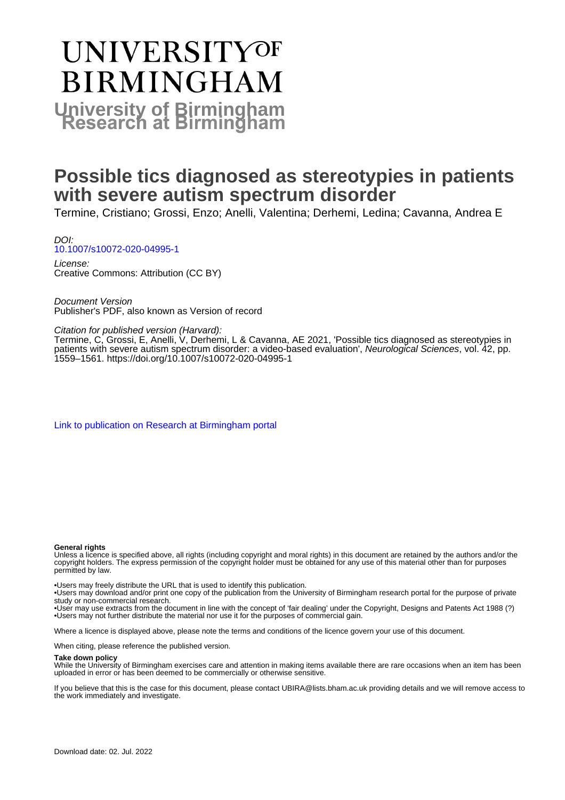# **UNIVERSITYOF BIRMINGHAM University of Birmingham**

# **Possible tics diagnosed as stereotypies in patients with severe autism spectrum disorder**

Termine, Cristiano; Grossi, Enzo; Anelli, Valentina; Derhemi, Ledina; Cavanna, Andrea E

DOI: [10.1007/s10072-020-04995-1](https://doi.org/10.1007/s10072-020-04995-1)

License: Creative Commons: Attribution (CC BY)

Document Version Publisher's PDF, also known as Version of record

Citation for published version (Harvard):

Termine, C, Grossi, E, Anelli, V, Derhemi, L & Cavanna, AE 2021, 'Possible tics diagnosed as stereotypies in patients with severe autism spectrum disorder: a video-based evaluation', Neurological Sciences, vol. 42, pp. 1559–1561. <https://doi.org/10.1007/s10072-020-04995-1>

[Link to publication on Research at Birmingham portal](https://birmingham.elsevierpure.com/en/publications/6597bc5b-5493-485f-ae08-af72a31717a0)

### **General rights**

Unless a licence is specified above, all rights (including copyright and moral rights) in this document are retained by the authors and/or the copyright holders. The express permission of the copyright holder must be obtained for any use of this material other than for purposes permitted by law.

• Users may freely distribute the URL that is used to identify this publication.

• Users may download and/or print one copy of the publication from the University of Birmingham research portal for the purpose of private study or non-commercial research.

• User may use extracts from the document in line with the concept of 'fair dealing' under the Copyright, Designs and Patents Act 1988 (?) • Users may not further distribute the material nor use it for the purposes of commercial gain.

Where a licence is displayed above, please note the terms and conditions of the licence govern your use of this document.

When citing, please reference the published version.

### **Take down policy**

While the University of Birmingham exercises care and attention in making items available there are rare occasions when an item has been uploaded in error or has been deemed to be commercially or otherwise sensitive.

If you believe that this is the case for this document, please contact UBIRA@lists.bham.ac.uk providing details and we will remove access to the work immediately and investigate.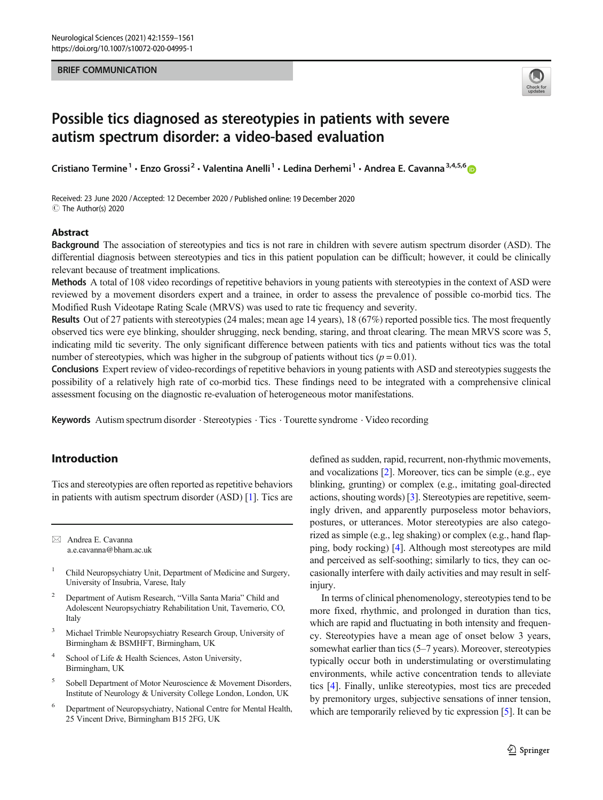## BRIEF COMMUNICATION



# Possible tics diagnosed as stereotypies in patients with severe autism spectrum disorder: a video-based evaluation

Cristiano Termine<sup>1</sup> · Enzo Grossi<sup>2</sup> · Valentina Anelli<sup>1</sup> · Ledina Derhemi<sup>1</sup> · Andrea E. Cavanna<sup>3,4,5,6</sup> @

Received: 23 June 2020 /Accepted: 12 December 2020 / Published online: 19 December 2020 C The Author(s) 2020

# Abstract

Background The association of stereotypies and tics is not rare in children with severe autism spectrum disorder (ASD). The differential diagnosis between stereotypies and tics in this patient population can be difficult; however, it could be clinically relevant because of treatment implications.

Methods A total of 108 video recordings of repetitive behaviors in young patients with stereotypies in the context of ASD were reviewed by a movement disorders expert and a trainee, in order to assess the prevalence of possible co-morbid tics. The Modified Rush Videotape Rating Scale (MRVS) was used to rate tic frequency and severity.

Results Out of 27 patients with stereotypies (24 males; mean age 14 years), 18 (67%) reported possible tics. The most frequently observed tics were eye blinking, shoulder shrugging, neck bending, staring, and throat clearing. The mean MRVS score was 5, indicating mild tic severity. The only significant difference between patients with tics and patients without tics was the total number of stereotypies, which was higher in the subgroup of patients without tics ( $p = 0.01$ ).

Conclusions Expert review of video-recordings of repetitive behaviors in young patients with ASD and stereotypies suggests the possibility of a relatively high rate of co-morbid tics. These findings need to be integrated with a comprehensive clinical assessment focusing on the diagnostic re-evaluation of heterogeneous motor manifestations.

Keywords Autism spectrum disorder · Stereotypies · Tics · Tourette syndrome · Video recording

# Introduction

Tics and stereotypies are often reported as repetitive behaviors in patients with autism spectrum disorder (ASD) [\[1](#page-3-0)]. Tics are

 $\boxtimes$  Andrea E. Cavanna [a.e.cavanna@bham.ac.uk](mailto:a.e.cavanna@bham.ac.uk)

- <sup>1</sup> Child Neuropsychiatry Unit, Department of Medicine and Surgery, University of Insubria, Varese, Italy
- <sup>2</sup> Department of Autism Research, "Villa Santa Maria" Child and Adolescent Neuropsychiatry Rehabilitation Unit, Tavernerio, CO, Italy
- <sup>3</sup> Michael Trimble Neuropsychiatry Research Group, University of Birmingham & BSMHFT, Birmingham, UK
- School of Life & Health Sciences, Aston University, Birmingham, UK
- <sup>5</sup> Sobell Department of Motor Neuroscience & Movement Disorders, Institute of Neurology & University College London, London, UK
- <sup>6</sup> Department of Neuropsychiatry, National Centre for Mental Health, 25 Vincent Drive, Birmingham B15 2FG, UK

defined as sudden, rapid, recurrent, non-rhythmic movements, and vocalizations [[2](#page-3-0)]. Moreover, tics can be simple (e.g., eye blinking, grunting) or complex (e.g., imitating goal-directed actions, shouting words) [\[3](#page-3-0)]. Stereotypies are repetitive, seemingly driven, and apparently purposeless motor behaviors, postures, or utterances. Motor stereotypies are also categorized as simple (e.g., leg shaking) or complex (e.g., hand flapping, body rocking) [\[4](#page-3-0)]. Although most stereotypes are mild and perceived as self-soothing; similarly to tics, they can occasionally interfere with daily activities and may result in selfinjury.

In terms of clinical phenomenology, stereotypies tend to be more fixed, rhythmic, and prolonged in duration than tics, which are rapid and fluctuating in both intensity and frequency. Stereotypies have a mean age of onset below 3 years, somewhat earlier than tics (5–7 years). Moreover, stereotypies typically occur both in understimulating or overstimulating environments, while active concentration tends to alleviate tics [\[4](#page-3-0)]. Finally, unlike stereotypies, most tics are preceded by premonitory urges, subjective sensations of inner tension, which are temporarily relieved by tic expression [\[5\]](#page-3-0). It can be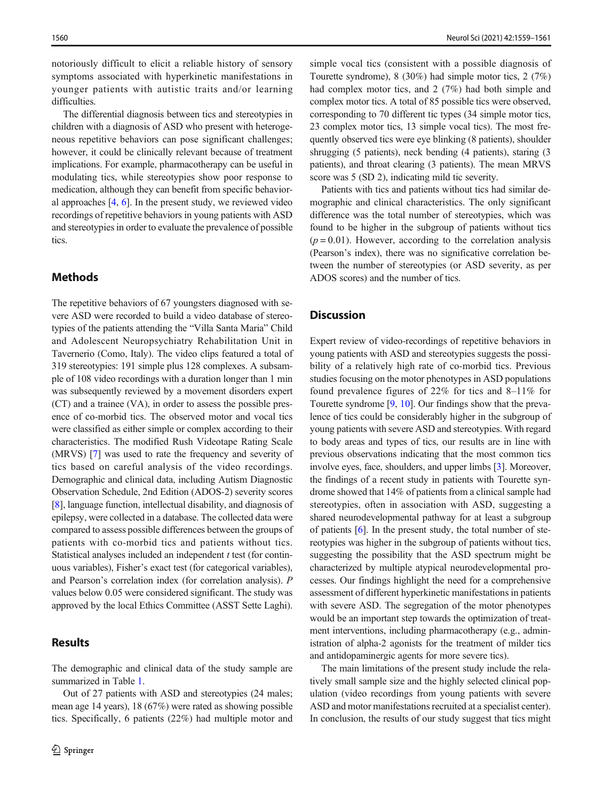notoriously difficult to elicit a reliable history of sensory symptoms associated with hyperkinetic manifestations in younger patients with autistic traits and/or learning difficulties.

The differential diagnosis between tics and stereotypies in children with a diagnosis of ASD who present with heterogeneous repetitive behaviors can pose significant challenges; however, it could be clinically relevant because of treatment implications. For example, pharmacotherapy can be useful in modulating tics, while stereotypies show poor response to medication, although they can benefit from specific behavioral approaches [\[4,](#page-3-0) [6\]](#page-3-0). In the present study, we reviewed video recordings of repetitive behaviors in young patients with ASD and stereotypies in order to evaluate the prevalence of possible tics.

# Methods

The repetitive behaviors of 67 youngsters diagnosed with severe ASD were recorded to build a video database of stereotypies of the patients attending the "Villa Santa Maria" Child and Adolescent Neuropsychiatry Rehabilitation Unit in Tavernerio (Como, Italy). The video clips featured a total of 319 stereotypies: 191 simple plus 128 complexes. A subsample of 108 video recordings with a duration longer than 1 min was subsequently reviewed by a movement disorders expert (CT) and a trainee (VA), in order to assess the possible presence of co-morbid tics. The observed motor and vocal tics were classified as either simple or complex according to their characteristics. The modified Rush Videotape Rating Scale (MRVS) [[7\]](#page-3-0) was used to rate the frequency and severity of tics based on careful analysis of the video recordings. Demographic and clinical data, including Autism Diagnostic Observation Schedule, 2nd Edition (ADOS-2) severity scores [\[8](#page-3-0)], language function, intellectual disability, and diagnosis of epilepsy, were collected in a database. The collected data were compared to assess possible differences between the groups of patients with co-morbid tics and patients without tics. Statistical analyses included an independent  $t$  test (for continuous variables), Fisher's exact test (for categorical variables), and Pearson's correlation index (for correlation analysis). P values below 0.05 were considered significant. The study was approved by the local Ethics Committee (ASST Sette Laghi).

# Results

The demographic and clinical data of the study sample are summarized in Table [1.](#page-3-0)

Out of 27 patients with ASD and stereotypies (24 males; mean age 14 years), 18 (67%) were rated as showing possible tics. Specifically, 6 patients (22%) had multiple motor and simple vocal tics (consistent with a possible diagnosis of Tourette syndrome), 8 (30%) had simple motor tics, 2 (7%) had complex motor tics, and 2 (7%) had both simple and complex motor tics. A total of 85 possible tics were observed, corresponding to 70 different tic types (34 simple motor tics, 23 complex motor tics, 13 simple vocal tics). The most frequently observed tics were eye blinking (8 patients), shoulder shrugging (5 patients), neck bending (4 patients), staring (3 patients), and throat clearing (3 patients). The mean MRVS score was 5 (SD 2), indicating mild tic severity.

Patients with tics and patients without tics had similar demographic and clinical characteristics. The only significant difference was the total number of stereotypies, which was found to be higher in the subgroup of patients without tics  $(p = 0.01)$ . However, according to the correlation analysis (Pearson's index), there was no significative correlation between the number of stereotypies (or ASD severity, as per ADOS scores) and the number of tics.

# **Discussion**

Expert review of video-recordings of repetitive behaviors in young patients with ASD and stereotypies suggests the possibility of a relatively high rate of co-morbid tics. Previous studies focusing on the motor phenotypes in ASD populations found prevalence figures of 22% for tics and 8–11% for Tourette syndrome [\[9](#page-3-0), [10](#page-3-0)]. Our findings show that the prevalence of tics could be considerably higher in the subgroup of young patients with severe ASD and stereotypies. With regard to body areas and types of tics, our results are in line with previous observations indicating that the most common tics involve eyes, face, shoulders, and upper limbs [[3\]](#page-3-0). Moreover, the findings of a recent study in patients with Tourette syndrome showed that 14% of patients from a clinical sample had stereotypies, often in association with ASD, suggesting a shared neurodevelopmental pathway for at least a subgroup of patients [[6](#page-3-0)]. In the present study, the total number of stereotypies was higher in the subgroup of patients without tics, suggesting the possibility that the ASD spectrum might be characterized by multiple atypical neurodevelopmental processes. Our findings highlight the need for a comprehensive assessment of different hyperkinetic manifestations in patients with severe ASD. The segregation of the motor phenotypes would be an important step towards the optimization of treatment interventions, including pharmacotherapy (e.g., administration of alpha-2 agonists for the treatment of milder tics and antidopaminergic agents for more severe tics).

The main limitations of the present study include the relatively small sample size and the highly selected clinical population (video recordings from young patients with severe ASD and motor manifestations recruited at a specialist center). In conclusion, the results of our study suggest that tics might